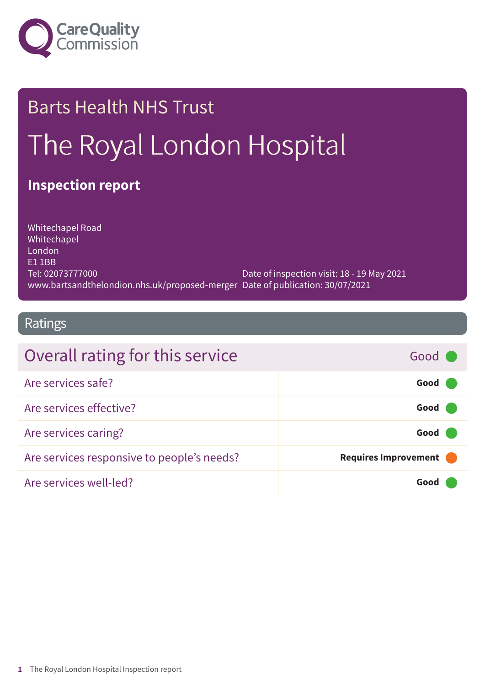

# Barts Health NHS Trust The Royal London Hospital

## **Inspection report**

Whitechapel Road Whitechapel London E1 1BB Tel: 02073777000 www.bartsandthelondion.nhs.uk/proposed-merger Date of publication: 30/07/2021 Date of inspection visit: 18 - 19 May 2021

## Ratings

| Overall rating for this service            | Good C               |
|--------------------------------------------|----------------------|
| Are services safe?                         | Good                 |
| Are services effective?                    | Good                 |
| Are services caring?                       | Good                 |
| Are services responsive to people's needs? | Requires Improvement |
| Are services well-led?                     | Good                 |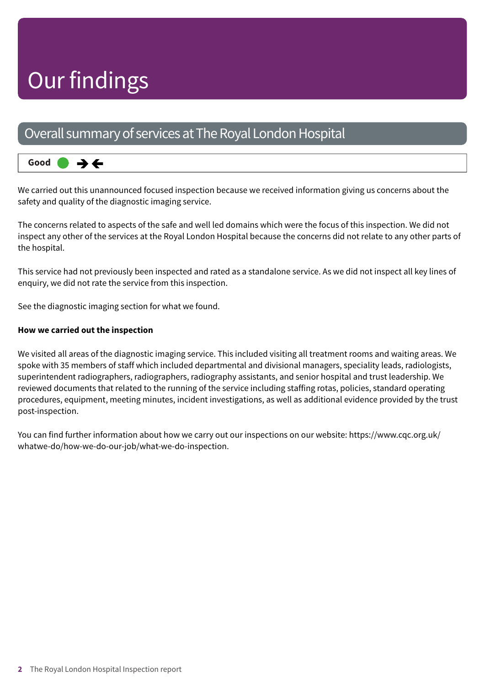## Our findings

## Overall summary of services at The Royal London Hospital

#### **Good –––** うそ

We carried out this unannounced focused inspection because we received information giving us concerns about the safety and quality of the diagnostic imaging service.

The concerns related to aspects of the safe and well led domains which were the focus of this inspection. We did not inspect any other of the services at the Royal London Hospital because the concerns did not relate to any other parts of the hospital.

This service had not previously been inspected and rated as a standalone service. As we did not inspect all key lines of enquiry, we did not rate the service from this inspection.

See the diagnostic imaging section for what we found.

## **How we carried out the inspection**

We visited all areas of the diagnostic imaging service. This included visiting all treatment rooms and waiting areas. We spoke with 35 members of staff which included departmental and divisional managers, speciality leads, radiologists, superintendent radiographers, radiographers, radiography assistants, and senior hospital and trust leadership. We reviewed documents that related to the running of the service including staffing rotas, policies, standard operating procedures, equipment, meeting minutes, incident investigations, as well as additional evidence provided by the trust post-inspection.

You can find further information about how we carry out our inspections on our website: https://www.cqc.org.uk/ whatwe-do/how-we-do-our-job/what-we-do-inspection.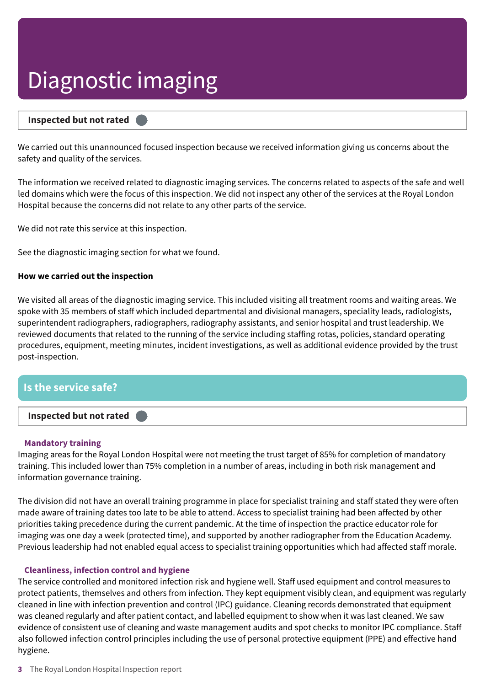### **Inspected but not rated –––**

We carried out this unannounced focused inspection because we received information giving us concerns about the safety and quality of the services.

The information we received related to diagnostic imaging services. The concerns related to aspects of the safe and well led domains which were the focus of this inspection. We did not inspect any other of the services at the Royal London Hospital because the concerns did not relate to any other parts of the service.

We did not rate this service at this inspection.

See the diagnostic imaging section for what we found.

#### **How we carried out the inspection**

We visited all areas of the diagnostic imaging service. This included visiting all treatment rooms and waiting areas. We spoke with 35 members of staff which included departmental and divisional managers, speciality leads, radiologists, superintendent radiographers, radiographers, radiography assistants, and senior hospital and trust leadership. We reviewed documents that related to the running of the service including staffing rotas, policies, standard operating procedures, equipment, meeting minutes, incident investigations, as well as additional evidence provided by the trust post-inspection.

## **Is the service safe?**



### **Mandatory training**

Imaging areas for the Royal London Hospital were not meeting the trust target of 85% for completion of mandatory training. This included lower than 75% completion in a number of areas, including in both risk management and information governance training.

The division did not have an overall training programme in place for specialist training and staff stated they were often made aware of training dates too late to be able to attend. Access to specialist training had been affected by other priorities taking precedence during the current pandemic. At the time of inspection the practice educator role for imaging was one day a week (protected time), and supported by another radiographer from the Education Academy. Previous leadership had not enabled equal access to specialist training opportunities which had affected staff morale.

### **Cleanliness, infection control and hygiene**

The service controlled and monitored infection risk and hygiene well. Staff used equipment and control measures to protect patients, themselves and others from infection. They kept equipment visibly clean, and equipment was regularly cleaned in line with infection prevention and control (IPC) guidance. Cleaning records demonstrated that equipment was cleaned regularly and after patient contact, and labelled equipment to show when it was last cleaned. We saw evidence of consistent use of cleaning and waste management audits and spot checks to monitor IPC compliance. Staff also followed infection control principles including the use of personal protective equipment (PPE) and effective hand hygiene.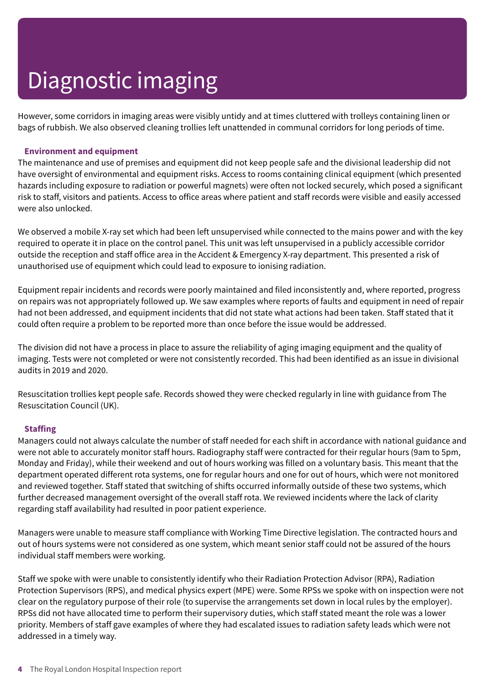However, some corridors in imaging areas were visibly untidy and at times cluttered with trolleys containing linen or bags of rubbish. We also observed cleaning trollies left unattended in communal corridors for long periods of time.

### **Environment and equipment**

The maintenance and use of premises and equipment did not keep people safe and the divisional leadership did not have oversight of environmental and equipment risks. Access to rooms containing clinical equipment (which presented hazards including exposure to radiation or powerful magnets) were often not locked securely, which posed a significant risk to staff, visitors and patients. Access to office areas where patient and staff records were visible and easily accessed were also unlocked.

We observed a mobile X-ray set which had been left unsupervised while connected to the mains power and with the key required to operate it in place on the control panel. This unit was left unsupervised in a publicly accessible corridor outside the reception and staff office area in the Accident & Emergency X-ray department. This presented a risk of unauthorised use of equipment which could lead to exposure to ionising radiation.

Equipment repair incidents and records were poorly maintained and filed inconsistently and, where reported, progress on repairs was not appropriately followed up. We saw examples where reports of faults and equipment in need of repair had not been addressed, and equipment incidents that did not state what actions had been taken. Staff stated that it could often require a problem to be reported more than once before the issue would be addressed.

The division did not have a process in place to assure the reliability of aging imaging equipment and the quality of imaging. Tests were not completed or were not consistently recorded. This had been identified as an issue in divisional audits in 2019 and 2020.

Resuscitation trollies kept people safe. Records showed they were checked regularly in line with guidance from The Resuscitation Council (UK).

## **Staffing**

Managers could not always calculate the number of staff needed for each shift in accordance with national guidance and were not able to accurately monitor staff hours. Radiography staff were contracted for their regular hours (9am to 5pm, Monday and Friday), while their weekend and out of hours working was filled on a voluntary basis. This meant that the department operated different rota systems, one for regular hours and one for out of hours, which were not monitored and reviewed together. Staff stated that switching of shifts occurred informally outside of these two systems, which further decreased management oversight of the overall staff rota. We reviewed incidents where the lack of clarity regarding staff availability had resulted in poor patient experience.

Managers were unable to measure staff compliance with Working Time Directive legislation. The contracted hours and out of hours systems were not considered as one system, which meant senior staff could not be assured of the hours individual staff members were working.

Staff we spoke with were unable to consistently identify who their Radiation Protection Advisor (RPA), Radiation Protection Supervisors (RPS), and medical physics expert (MPE) were. Some RPSs we spoke with on inspection were not clear on the regulatory purpose of their role (to supervise the arrangements set down in local rules by the employer). RPSs did not have allocated time to perform their supervisory duties, which staff stated meant the role was a lower priority. Members of staff gave examples of where they had escalated issues to radiation safety leads which were not addressed in a timely way.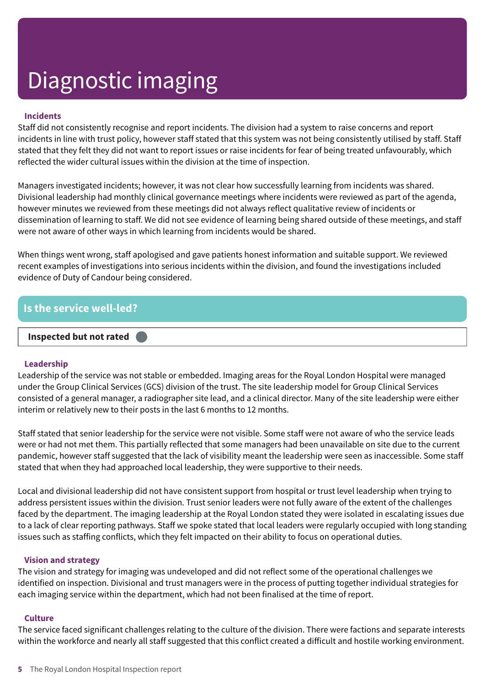## **Incidents**

Staff did not consistently recognise and report incidents. The division had a system to raise concerns and report incidents in line with trust policy, however staff stated that this system was not being consistently utilised by staff. Staff stated that they felt they did not want to report issues or raise incidents for fear of being treated unfavourably, which reflected the wider cultural issues within the division at the time of inspection.

Managers investigated incidents; however, it was not clear how successfully learning from incidents was shared. Divisional leadership had monthly clinical governance meetings where incidents were reviewed as part of the agenda, however minutes we reviewed from these meetings did not always reflect qualitative review of incidents or dissemination of learning to staff. We did not see evidence of learning being shared outside of these meetings, and staff were not aware of other ways in which learning from incidents would be shared.

When things went wrong, staff apologised and gave patients honest information and suitable support. We reviewed recent examples of investigations into serious incidents within the division, and found the investigations included evidence of Duty of Candour being considered.

## **Is the service well-led?**

## **Inspected but not rated –––**

## **Leadership**

Leadership of the service was not stable or embedded. Imaging areas for the Royal London Hospital were managed under the Group Clinical Services (GCS) division of the trust. The site leadership model for Group Clinical Services consisted of a general manager, a radiographer site lead, and a clinical director. Many of the site leadership were either interim or relatively new to their posts in the last 6 months to 12 months.

Staff stated that senior leadership for the service were not visible. Some staff were not aware of who the service leads were or had not met them. This partially reflected that some managers had been unavailable on site due to the current pandemic, however staff suggested that the lack of visibility meant the leadership were seen as inaccessible. Some staff stated that when they had approached local leadership, they were supportive to their needs.

Local and divisional leadership did not have consistent support from hospital or trust level leadership when trying to address persistent issues within the division. Trust senior leaders were not fully aware of the extent of the challenges faced by the department. The imaging leadership at the Royal London stated they were isolated in escalating issues due to a lack of clear reporting pathways. Staff we spoke stated that local leaders were regularly occupied with long standing issues such as staffing conflicts, which they felt impacted on their ability to focus on operational duties.

## **Vision and strategy**

The vision and strategy for imaging was undeveloped and did not reflect some of the operational challenges we identified on inspection. Divisional and trust managers were in the process of putting together individual strategies for each imaging service within the department, which had not been finalised at the time of report.

### **Culture**

The service faced significant challenges relating to the culture of the division. There were factions and separate interests within the workforce and nearly all staff suggested that this conflict created a difficult and hostile working environment.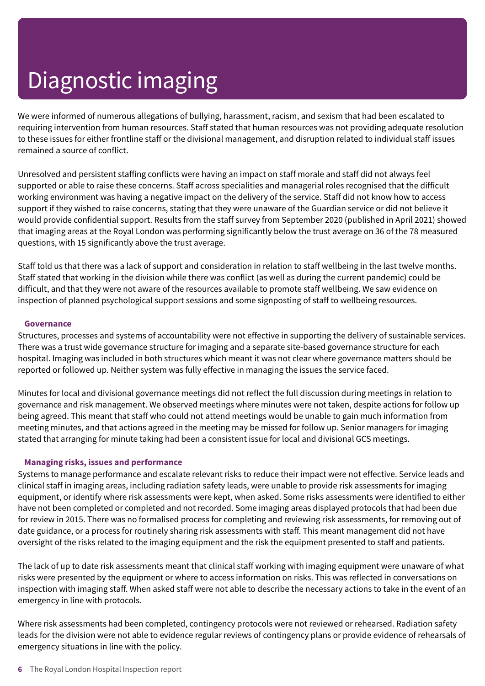We were informed of numerous allegations of bullying, harassment, racism, and sexism that had been escalated to requiring intervention from human resources. Staff stated that human resources was not providing adequate resolution to these issues for either frontline staff or the divisional management, and disruption related to individual staff issues remained a source of conflict.

Unresolved and persistent staffing conflicts were having an impact on staff morale and staff did not always feel supported or able to raise these concerns. Staff across specialities and managerial roles recognised that the difficult working environment was having a negative impact on the delivery of the service. Staff did not know how to access support if they wished to raise concerns, stating that they were unaware of the Guardian service or did not believe it would provide confidential support. Results from the staff survey from September 2020 (published in April 2021) showed that imaging areas at the Royal London was performing significantly below the trust average on 36 of the 78 measured questions, with 15 significantly above the trust average.

Staff told us that there was a lack of support and consideration in relation to staff wellbeing in the last twelve months. Staff stated that working in the division while there was conflict (as well as during the current pandemic) could be difficult, and that they were not aware of the resources available to promote staff wellbeing. We saw evidence on inspection of planned psychological support sessions and some signposting of staff to wellbeing resources.

### **Governance**

Structures, processes and systems of accountability were not effective in supporting the delivery of sustainable services. There was a trust wide governance structure for imaging and a separate site-based governance structure for each hospital. Imaging was included in both structures which meant it was not clear where governance matters should be reported or followed up. Neither system was fully effective in managing the issues the service faced.

Minutes for local and divisional governance meetings did not reflect the full discussion during meetings in relation to governance and risk management. We observed meetings where minutes were not taken, despite actions for follow up being agreed. This meant that staff who could not attend meetings would be unable to gain much information from meeting minutes, and that actions agreed in the meeting may be missed for follow up. Senior managers for imaging stated that arranging for minute taking had been a consistent issue for local and divisional GCS meetings.

## **Managing risks, issues and performance**

Systems to manage performance and escalate relevant risks to reduce their impact were not effective. Service leads and clinical staff in imaging areas, including radiation safety leads, were unable to provide risk assessments for imaging equipment, or identify where risk assessments were kept, when asked. Some risks assessments were identified to either have not been completed or completed and not recorded. Some imaging areas displayed protocols that had been due for review in 2015. There was no formalised process for completing and reviewing risk assessments, for removing out of date guidance, or a process for routinely sharing risk assessments with staff. This meant management did not have oversight of the risks related to the imaging equipment and the risk the equipment presented to staff and patients.

The lack of up to date risk assessments meant that clinical staff working with imaging equipment were unaware of what risks were presented by the equipment or where to access information on risks. This was reflected in conversations on inspection with imaging staff. When asked staff were not able to describe the necessary actions to take in the event of an emergency in line with protocols.

Where risk assessments had been completed, contingency protocols were not reviewed or rehearsed. Radiation safety leads for the division were not able to evidence regular reviews of contingency plans or provide evidence of rehearsals of emergency situations in line with the policy.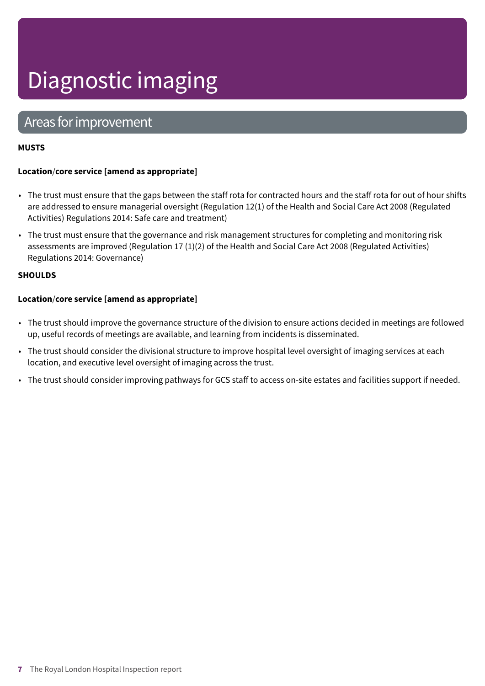## Areas for improvement

## **MUSTS**

## **Location**/**core service [amend as appropriate]**

- The trust must ensure that the gaps between the staff rota for contracted hours and the staff rota for out of hour shifts are addressed to ensure managerial oversight (Regulation 12(1) of the Health and Social Care Act 2008 (Regulated Activities) Regulations 2014: Safe care and treatment)
- The trust must ensure that the governance and risk management structures for completing and monitoring risk assessments are improved (Regulation 17 (1)(2) of the Health and Social Care Act 2008 (Regulated Activities) Regulations 2014: Governance)

### **SHOULDS**

## **Location**/**core service [amend as appropriate]**

- The trust should improve the governance structure of the division to ensure actions decided in meetings are followed up, useful records of meetings are available, and learning from incidents is disseminated.
- The trust should consider the divisional structure to improve hospital level oversight of imaging services at each location, and executive level oversight of imaging across the trust.
- The trust should consider improving pathways for GCS staff to access on-site estates and facilities support if needed.